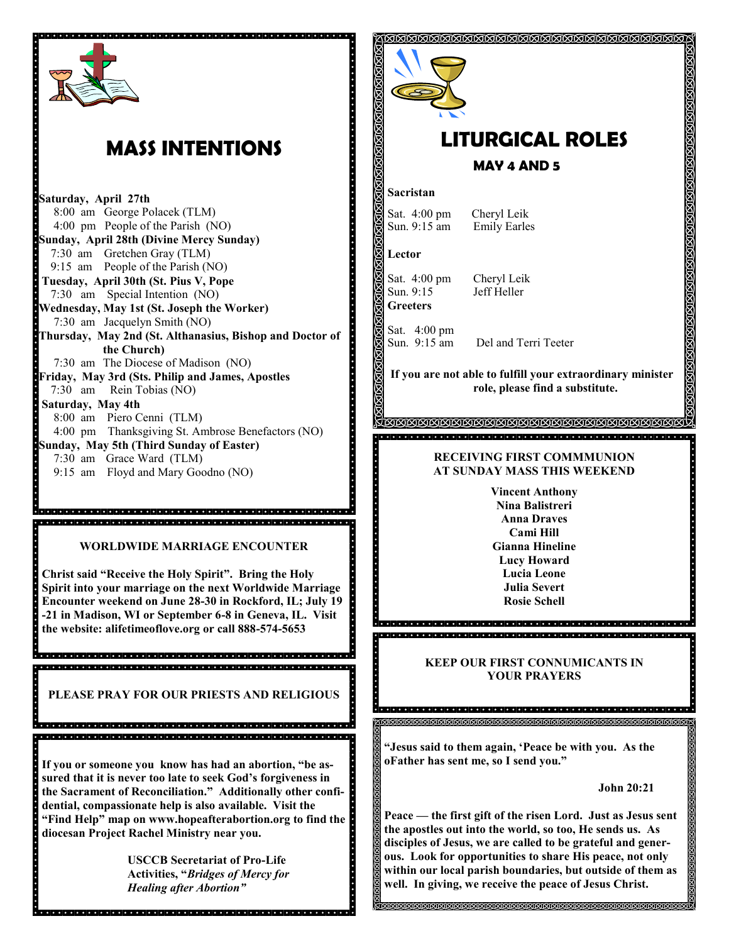

# **MASS INTENTIONS**

**Saturday, April 27th** 8:00 am George Polacek (TLM) 4:00 pm People of the Parish (NO) **Sunday, April 28th (Divine Mercy Sunday)** 7:30 am Gretchen Gray (TLM) 9:15 am People of the Parish (NO) **Tuesday, April 30th (St. Pius V, Pope**  7:30 am Special Intention (NO) **Wednesday, May 1st (St. Joseph the Worker)** 7:30 am Jacquelyn Smith (NO) **Thursday, May 2nd (St. Althanasius, Bishop and Doctor of the Church)** 7:30 am The Diocese of Madison (NO) **Friday, May 3rd (Sts. Philip and James, Apostles** 7:30 am Rein Tobias (NO) **Saturday, May 4th**  8:00 am Piero Cenni (TLM) 4:00 pm Thanksgiving St. Ambrose Benefactors (NO) **Sunday, May 5th (Third Sunday of Easter)** 7:30 am Grace Ward (TLM) 9:15 am Floyd and Mary Goodno (NO)

#### **WORLDWIDE MARRIAGE ENCOUNTER**

dia dia kaominina mpikambana amin'ny fivondronan-kaominina dia kaominina mpikambana amin'ny fivondronan-kaomini

**Christ said "Receive the Holy Spirit". Bring the Holy Spirit into your marriage on the next Worldwide Marriage Encounter weekend on June 28-30 in Rockford, IL; July 19 -21 in Madison, WI or September 6-8 in Geneva, IL. Visit the website: alifetimeoflove.org or call 888-574-5653**

, a statistici sistema sistema statistici sistema sistema sistema sistema sistema sistema sistema sistema 

**PLEASE PRAY FOR OUR PRIESTS AND RELIGIOUS**

.<br>A ciele de de la diale de la diale de de sua diale de la diale de la diale diale de la diale de la diale de la 

**If you or someone you know has had an abortion, "be assured that it is never too late to seek God's forgiveness in the Sacrament of Reconciliation." Additionally other confidential, compassionate help is also available. Visit the "Find Help" map on www.hopeafterabortion.org to find the diocesan Project Rachel Ministry near you.**

> **USCCB Secretariat of Pro-Life Activities, "***Bridges of Mercy for Healing after Abortion"*



# **LITURGICAL ROLES**

**MAY 4 AND 5**

#### **Sacristan**

Sat. 4:00 pm Cheryl Leik Sun. 9:15 am Emily Earles

**Lector**

Sat. 4:00 pm Cheryl Leik Sun. 9:15 Jeff Heller **Greeters**

Sat. 4:00 pm

Sun. 9:15 am Del and Terri Teeter

**SEXISIONS ISING SEXISIONS SEXISIONS SEXISIONS ISING ISI** 

**If you are not able to fulfill your extraordinary minister role, please find a substitute.** 

#### **RECEIVING FIRST COMMMUNION AT SUNDAY MASS THIS WEEKEND**

**Vincent Anthony Nina Balistreri Anna Draves Cami Hill Gianna Hineline Lucy Howard Lucia Leone Julia Severt Rosie Schell**

### **KEEP OUR FIRST CONNUMICANTS IN YOUR PRAYERS**

**"Jesus said to them again, 'Peace be with you. As the oFather has sent me, so I send you."**

**John 20:21**

**Peace — the first gift of the risen Lord. Just as Jesus sent the apostles out into the world, so too, He sends us. As disciples of Jesus, we are called to be grateful and generous. Look for opportunities to share His peace, not only within our local parish boundaries, but outside of them as well. In giving, we receive the peace of Jesus Christ.**

**MAMAMAMAMAMAMAMAMAMAMA**